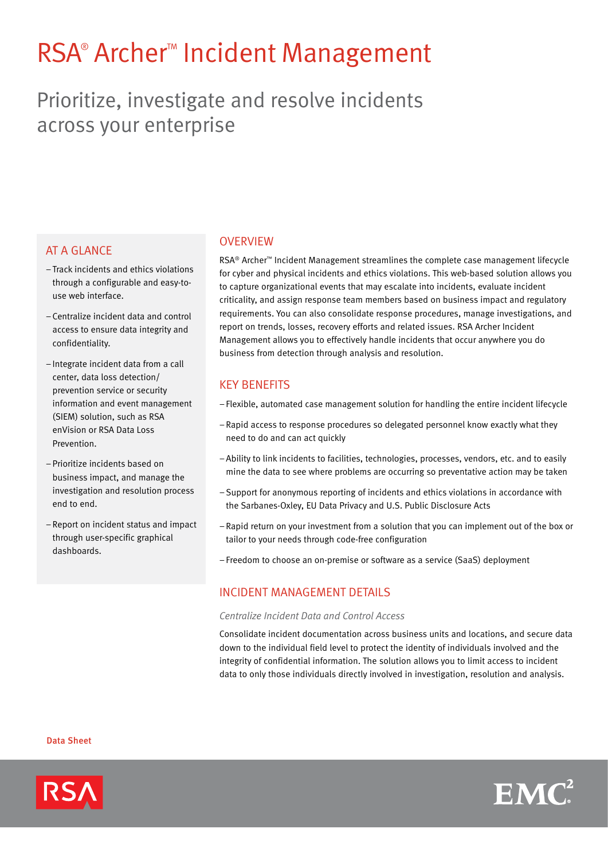# RSA® Archer™ Incident Management

# Prioritize, investigate and resolve incidents across your enterprise

# **AT A GLANCE**

- –Track incidents and ethics violations through a configurable and easy-touse web interface.
- Centralize incident data and control access to ensure data integrity and confidentiality.
- –Integrate incident data from a call center, data loss detection/ prevention service or security information and event management (SIEM) solution, such as RSA enVision or RSA Data Loss Prevention.
- –Prioritize incidents based on business impact, and manage the investigation and resolution process end to end.
- –Report on incident status and impact through user-specific graphical dashboards.

### **OVERVIEW**

RSA® Archer™ Incident Management streamlines the complete case management lifecycle for cyber and physical incidents and ethics violations. This web-based solution allows you to capture organizational events that may escalate into incidents, evaluate incident criticality, and assign response team members based on business impact and regulatory requirements. You can also consolidate response procedures, manage investigations, and report on trends, losses, recovery efforts and related issues. RSA Archer Incident Management allows you to effectively handle incidents that occur anywhere you do business from detection through analysis and resolution.

# Key Benefits

- Flexible, automated case management solution for handling the entire incident lifecycle
- –Rapid access to response procedures so delegated personnel know exactly what they need to do and can act quickly
- –Ability to link incidents to facilities, technologies, processes, vendors, etc. and to easily mine the data to see where problems are occurring so preventative action may be taken
- –Support for anonymous reporting of incidents and ethics violations in accordance with the Sarbanes-Oxley, EU Data Privacy and U.S. Public Disclosure Acts
- –Rapid return on your investment from a solution that you can implement out of the box or tailor to your needs through code-free configuration
- Freedom to choose an on-premise or software as a service (SaaS) deployment

## Incident Management Details

#### *Centralize Incident Data and Control Access*

Consolidate incident documentation across business units and locations, and secure data down to the individual field level to protect the identity of individuals involved and the integrity of confidential information. The solution allows you to limit access to incident data to only those individuals directly involved in investigation, resolution and analysis.

Data Sheet